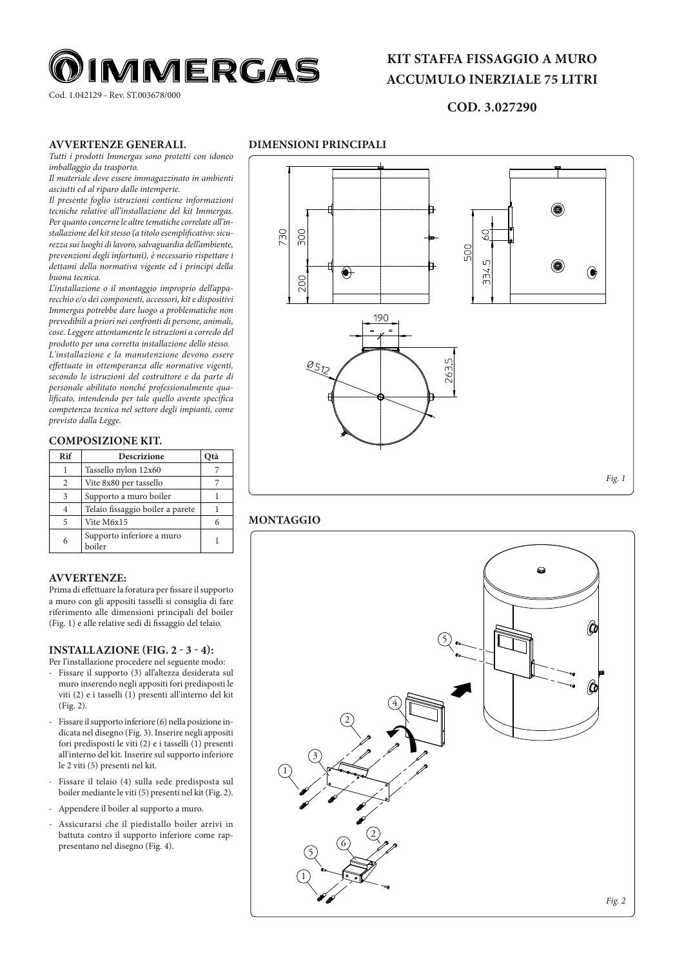

Cod. 1.042129 - Rev. ST.003678/000

# **KIT STAFFA FISSAGGIO A MURO ACCUMULO INERZIALE 75 LITRI**

# **COD. 3.027290**

### **AVVERTENZE GENERALI.**

*Tutti i prodotti Immergas sono protetti con idoneo imballaggio da trasporto.* 

*Il materiale deve essere immagazzinato in ambienti asciutti ed al riparo dalle intemperie.*

*Il presente foglio istruzioni contiene informazioni tecniche relative all'installazione del kit Immergas. Per quanto concerne le altre tematiche correlate all'installazione del kit stesso (a titolo esemplificativo: sicurezza sui luoghi di lavoro, salvaguardia dell'ambiente, prevenzioni degli infortuni), è necessario rispettare i dettami della normativa vigente ed i principi della buona tecnica.*

*L'installazione o il montaggio improprio dell'apparecchio e/o dei componenti, accessori, kit e dispositivi Immergas potrebbe dare luogo a problematiche non prevedibili a priori nei confronti di persone, animali, cose. Leggere attentamente le istruzioni a corredo del prodotto per una corretta installazione dello stesso. L'installazione e la manutenzione devono essere effettuate in ottemperanza alle normative vigenti, secondo le istruzioni del costruttore e da parte di personale abilitato nonché professionalmente qualificato, intendendo per tale quello avente specifica competenza tecnica nel settore degli impianti, come previsto dalla Legge.* 

### **COMPOSIZIONE KIT.**

| Rif          | <b>Descrizione</b>                  | Otà |
|--------------|-------------------------------------|-----|
|              | Tassello nylon 12x60                |     |
| 2            | Vite 8x80 per tassello              |     |
| $\mathbf{3}$ | Supporto a muro boiler              |     |
|              | Telaio fissaggio boiler a parete    |     |
| 5            | Vite M6x15                          |     |
| 6            | Supporto inferiore a muro<br>boiler |     |

### **AVVERTENZE:**

Prima di effettuare la foratura per fissare il supporto a muro con gli appositi tasselli si consiglia di fare riferimento alle dimensioni principali del boiler (Fig. 1) e alle relative sedi di fissaggio del telaio.

#### **INSTALLAZIONE (FIG. 2 - 3 - 4):**

- Per l'installazione procedere nel seguente modo: - Fissare il supporto (3) all'altezza desiderata sul muro inserendo negli appositi fori predisposti le viti (2) e i tasselli (1) presenti all'interno del kit (Fig. 2).
- Fissare il supporto inferiore (6) nella posizione indicata nel disegno (Fig. 3). Inserire negli appositi fori predisposti le viti (2) e i tasselli (1) presenti all'interno del kit. Inserire sul supporto inferiore le 2 viti (5) presenti nel kit.
- Fissare il telaio (4) sulla sede predisposta sul boiler mediante le viti (5) presenti nel kit (Fig. 2).
- Appendere il boiler al supporto a muro.
- Assicurarsi che il piedistallo boiler arrivi in battuta contro il supporto inferiore come rappresentano nel disegno (Fig. 4).



## **MONTAGGIO**

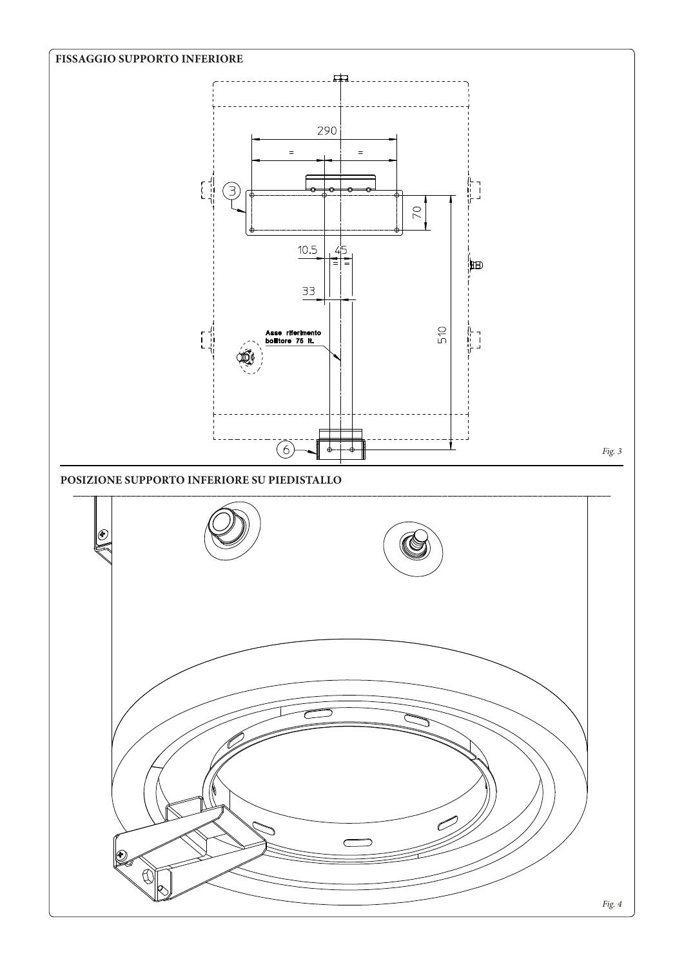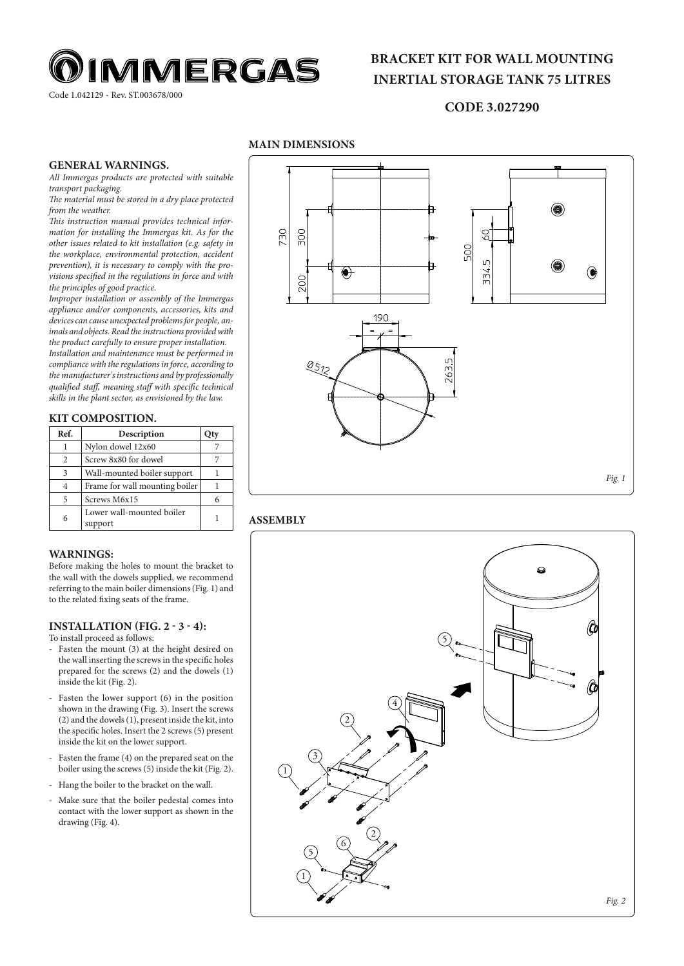

Code 1.042129 - Rev. ST.003678/000

# **BRACKET KIT FOR WALL MOUNTING INERTIAL STORAGE TANK 75 LITRES**

## **CODE 3.027290**

## **MAIN DIMENSIONS**

### **GENERAL WARNINGS.**

*All Immergas products are protected with suitable transport packaging.* 

*The material must be stored in a dry place protected from the weather.*

*This instruction manual provides technical information for installing the Immergas kit. As for the other issues related to kit installation (e.g. safety in the workplace, environmental protection, accident prevention), it is necessary to comply with the provisions specified in the regulations in force and with the principles of good practice.*

*Improper installation or assembly of the Immergas appliance and/or components, accessories, kits and devices can cause unexpected problems for people, animals and objects. Read the instructions provided with the product carefully to ensure proper installation. Installation and maintenance must be performed in* 

*compliance with the regulations in force, according to the manufacturer's instructions and by professionally qualified staff, meaning staff with specific technical skills in the plant sector, as envisioned by the law.* 

### **KIT COMPOSITION.**

| Ref.               | Description                          | Otv |
|--------------------|--------------------------------------|-----|
|                    | Nylon dowel 12x60                    |     |
| $\mathfrak{D}_{1}$ | Screw 8x80 for dowel                 |     |
| 3                  | Wall-mounted boiler support          |     |
|                    | Frame for wall mounting boiler       |     |
| 5                  | Screws M6x15                         | 6   |
| 6                  | Lower wall-mounted boiler<br>support |     |

### **WARNINGS:**

Before making the holes to mount the bracket to the wall with the dowels supplied, we recommend referring to the main boiler dimensions (Fig. 1) and to the related fixing seats of the frame.

#### **INSTALLATION (FIG. 2 - 3 - 4):**

To install proceed as follows:

- Fasten the mount (3) at the height desired on the wall inserting the screws in the specific holes prepared for the screws (2) and the dowels (1) inside the kit (Fig. 2).
- Fasten the lower support (6) in the position shown in the drawing (Fig. 3). Insert the screws (2) and the dowels (1), present inside the kit, into the specific holes. Insert the 2 screws (5) present inside the kit on the lower support.
- Fasten the frame (4) on the prepared seat on the boiler using the screws (5) inside the kit (Fig. 2).
- Hang the boiler to the bracket on the wall.
- Make sure that the boiler pedestal comes into contact with the lower support as shown in the drawing (Fig. 4).



### **ASSEMBLY**